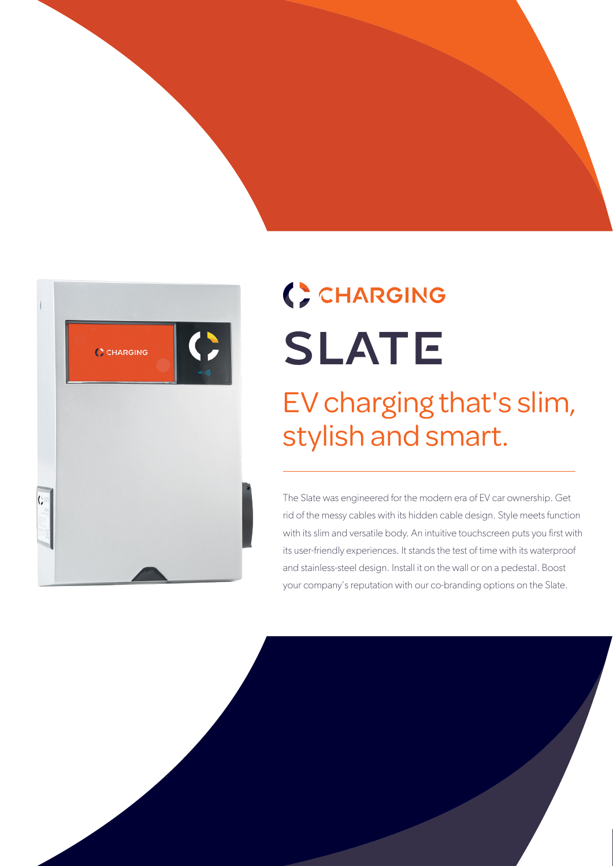



## ( ) CHARGING SLATE

## EV charging that's slim, stylish and smart.

The Slate was engineered for the modern era of EV car ownership. Get rid of the messy cables with its hidden cable design. Style meets function with its slim and versatile body. An intuitive touchscreen puts you first with its user-friendly experiences. It stands the test of time with its waterproof and stainless-steel design. Install it on the wall or on a pedestal. Boost your company's reputation with our co-branding options on the Slate.